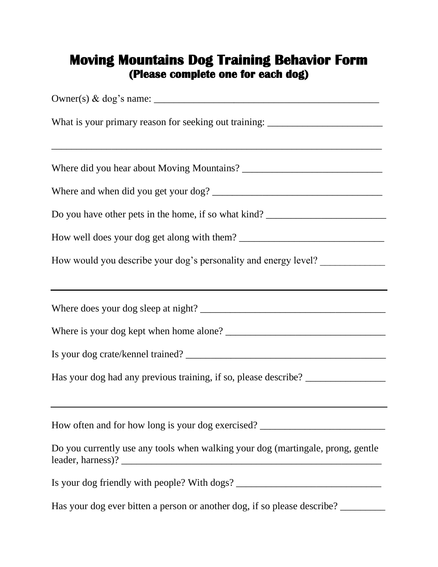## **Moving Mountains Dog Training Behavior Form (Please complete one for each dog)**

| What is your primary reason for seeking out training: __________________________ |
|----------------------------------------------------------------------------------|
|                                                                                  |
|                                                                                  |
| Do you have other pets in the home, if so what kind?                             |
|                                                                                  |
| How would you describe your dog's personality and energy level?                  |
| ,我们也不会有什么。""我们的人,我们也不会有什么?""我们的人,我们也不会有什么?""我们的人,我们也不会有什么?""我们的人,我们也不会有什么?""我们的人 |
|                                                                                  |
|                                                                                  |
| Has your dog had any previous training, if so, please describe?                  |
| How often and for how long is your dog exercised?                                |
| Do you currently use any tools when walking your dog (martingale, prong, gentle  |
| Is your dog friendly with people? With dogs? ___________________________________ |
| Has your dog ever bitten a person or another dog, if so please describe?         |